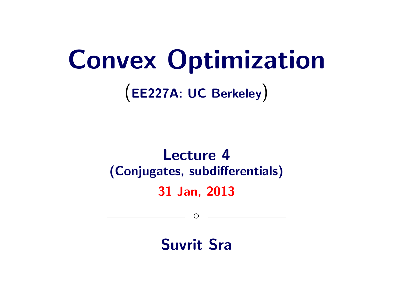# Convex Optimization

(EE227A: UC Berkeley)

# Lecture 4 (Conjugates, subdifferentials) 31 Jan, 2013

Suvrit Sra

◦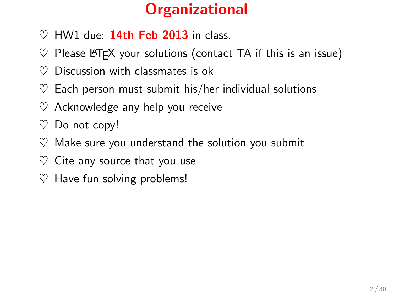# **Organizational**

- $\heartsuit$  HW1 due: 14th Feb 2013 in class.
- $\heartsuit$  Please LAT<sub>F</sub>X your solutions (contact TA if this is an issue)
- $\heartsuit$  Discussion with classmates is ok
- $\heartsuit$  Each person must submit his/her individual solutions
- $\heartsuit$  Acknowledge any help you receive
- $\heartsuit$  Do not copy!
- $\heartsuit$  Make sure you understand the solution you submit
- $\heartsuit$  Cite any source that you use
- $\heartsuit$  Have fun solving problems!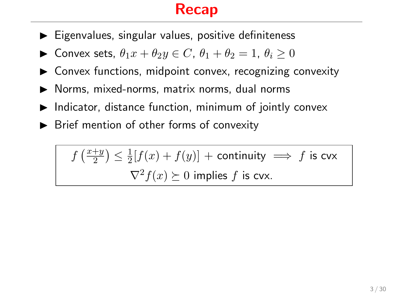#### Recap

- $\blacktriangleright$  Eigenvalues, singular values, positive definiteness
- ► Convex sets,  $\theta_1 x + \theta_2 y \in C$ ,  $\theta_1 + \theta_2 = 1$ ,  $\theta_i > 0$
- $\triangleright$  Convex functions, midpoint convex, recognizing convexity
- $\blacktriangleright$  Norms, mixed-norms, matrix norms, dual norms
- $\blacktriangleright$  Indicator, distance function, minimum of jointly convex
- $\blacktriangleright$  Brief mention of other forms of convexity

 $f\left(\frac{x+y}{2}\right)$  $(\frac{+y}{2}) \leq \frac{1}{2}$  $\frac{1}{2}[f(x)+f(y)]$  + continuity  $\implies$  f is cvx  $\nabla^2 f(x) \succeq 0$  implies f is cvx.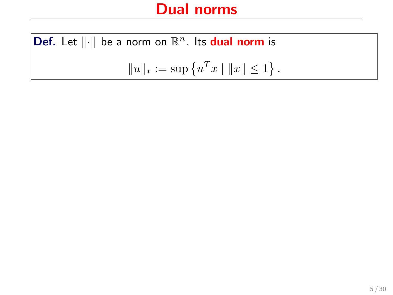**Def.** Let  $\|\cdot\|$  be a norm on  $\mathbb{R}^n$ . Its **dual norm** is  $||u||_* := \sup \{u^T x \mid ||x|| \leq 1\}.$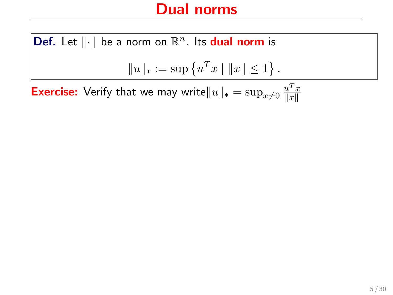**Def.** Let  $\|\cdot\|$  be a norm on  $\mathbb{R}^n$ . Its **dual norm** is  $||u||_* := \sup \{u^T x \mid ||x|| \leq 1\}.$ 

**Exercise:** Verify that we may write $\|u\|_* = \sup_{x\neq 0} \frac{u^T x}{\|x\|}$  $\Vert x \Vert$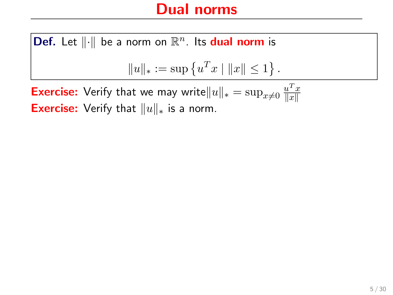**Def.** Let  $\|\cdot\|$  be a norm on  $\mathbb{R}^n$ . Its **dual norm** is  $||u||_* := \sup \{u^T x \mid ||x|| \leq 1\}.$ **Exercise:** Verify that we may write  $||u||_* = \sup_{x\neq 0} \frac{u^T x}{||x||}$  $\Vert x \Vert$ 

Exercise: Verify that  $||u||_*$  is a norm.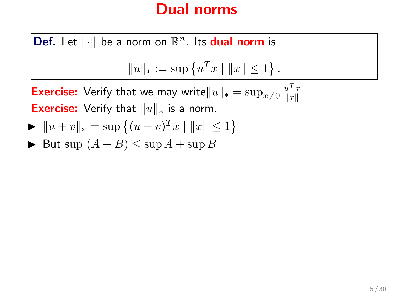**Def.** Let  $\|\cdot\|$  be a norm on  $\mathbb{R}^n$ . Its **dual norm** is  $||u||_* := \sup \{u^T x \mid ||x|| \leq 1\}.$ **Exercise:** Verify that we may write  $||u||_* = \sup_{x\neq 0} \frac{u^T x}{||x||}$  $\Vert x \Vert$ 

**Exercise:** Verify that  $||u||_*$  is a norm.

- $\blacktriangleright \|u + v\|_{*} = \sup \{(u + v)^{T}x \mid ||x|| \leq 1\}$
- $\blacktriangleright$  But sup  $(A + B) \leq \sup A + \sup B$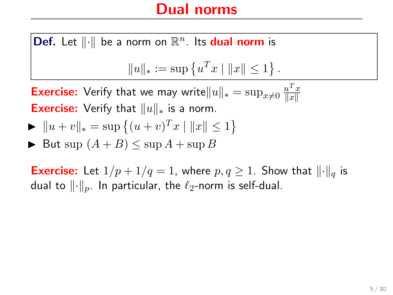**Def.** Let  $\|\cdot\|$  be a norm on  $\mathbb{R}^n$ . Its **dual norm** is  $||u||_* := \sup \{u^T x \mid ||x|| \leq 1\}.$ 

**Exercise:** Verify that we may write  $||u||_* = \sup_{x\neq 0} \frac{u^T x}{||x||}$  $\Vert x \Vert$ **Exercise:** Verify that  $||u||_*$  is a norm.

$$
\blacktriangleright \|u + v\|_{*} = \sup \left\{ (u + v)^{T} x \mid \|x\| \le 1 \right\}
$$

$$
\blacktriangleright \text{ But sup } (A + B) \le \sup A + \sup B
$$

**Exercise:** Let  $1/p + 1/q = 1$ , where  $p, q \ge 1$ . Show that  $\lVert \cdot \rVert_q$  is dual to  $\lVert \cdot \rVert_p$ . In particular, the  $\ell_2$ -norm is self-dual.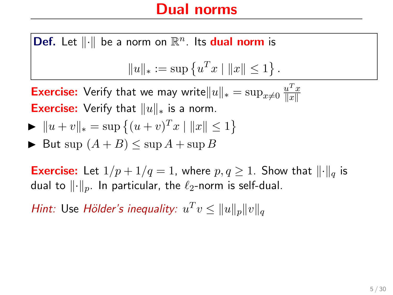**Def.** Let  $\|\cdot\|$  be a norm on  $\mathbb{R}^n$ . Its **dual norm** is  $||u||_* := \sup \{u^T x \mid ||x|| \leq 1\}.$ 

**Exercise:** Verify that we may write  $||u||_* = \sup_{x\neq 0} \frac{u^T x}{||x||}$  $\Vert x \Vert$ **Exercise:** Verify that  $||u||_*$  is a norm.

$$
\blacktriangleright \|u + v\|_{*} = \sup \left\{ (u + v)^{T} x \mid \|x\| \le 1 \right\}
$$

$$
\blacktriangleright \text{ But sup } (A + B) \le \sup A + \sup B
$$

**Exercise:** Let  $1/p + 1/q = 1$ , where  $p, q \ge 1$ . Show that  $\lVert \cdot \rVert_q$  is dual to  $\lVert \cdot \rVert_p$ . In particular, the  $\ell_2$ -norm is self-dual.

Hint: Use Hölder's inequality:  $u^T v \leq ||u||_p ||v||_q$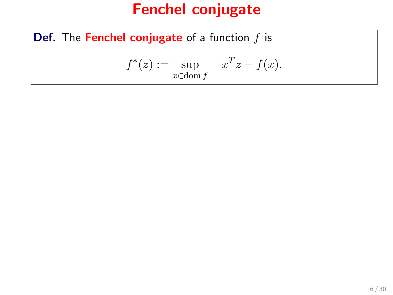**Def.** The Fenchel conjugate of a function  $f$  is

$$
f^*(z) := \sup_{x \in \text{dom } f} x^T z - f(x).
$$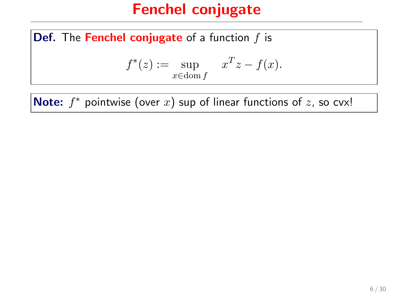**Def.** The Fenchel conjugate of a function  $f$  is

$$
f^*(z) := \sup_{x \in \text{dom } f} x^T z - f(x).
$$

**Note:**  $f^*$  pointwise (over  $x$ ) sup of linear functions of  $z$ , so cvx!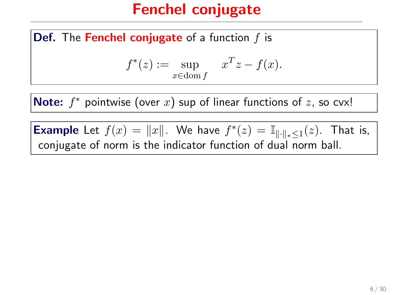**Def.** The Fenchel conjugate of a function  $f$  is

$$
f^*(z) := \sup_{x \in \text{dom } f} x^T z - f(x).
$$

**Note:**  $f^*$  pointwise (over  $x$ ) sup of linear functions of  $z$ , so cvx!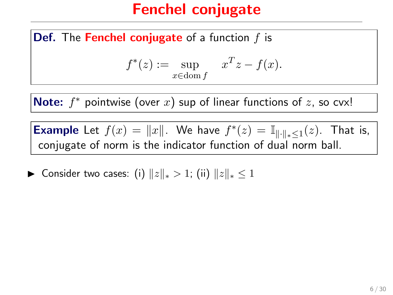**Def.** The Fenchel conjugate of a function  $f$  is

$$
f^*(z) := \sup_{x \in \text{dom } f} x^T z - f(x).
$$

**Note:**  $f^*$  pointwise (over  $x$ ) sup of linear functions of  $z$ , so cvx!

**Example** Let  $f(x) = ||x||$ . We have  $f^*(z) = \mathbb{I}_{\|\cdot\|_* \leq 1}(z)$ . That is, conjugate of norm is the indicator function of dual norm ball.

► Consider two cases: (i)  $||z||_* > 1$ ; (ii)  $||z||_* \leq 1$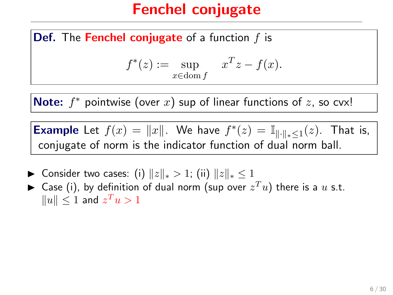**Def.** The Fenchel conjugate of a function  $f$  is

$$
f^*(z) := \sup_{x \in \text{dom } f} x^T z - f(x).
$$

**Note:**  $f^*$  pointwise (over  $x$ ) sup of linear functions of  $z$ , so cvx!

- ► Consider two cases: (i)  $||z||_* > 1$ ; (ii)  $||z||_* \leq 1$
- $\blacktriangleright$  Case (i), by definition of dual norm (sup over  $z^T u$ ) there is a  $u$  s.t.  $||u|| \leq 1$  and  $z^T u > 1$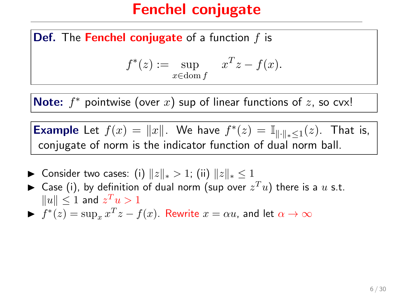**Def.** The Fenchel conjugate of a function  $f$  is

$$
f^*(z) := \sup_{x \in \text{dom } f} x^T z - f(x).
$$

**Note:**  $f^*$  pointwise (over  $x$ ) sup of linear functions of  $z$ , so cvx!

- ► Consider two cases: (i)  $||z||_* > 1$ ; (ii)  $||z||_* \leq 1$
- $\blacktriangleright$  Case (i), by definition of dual norm (sup over  $z^T u$ ) there is a  $u$  s.t.  $\|u\| \leq 1$  and  $z^T u > 1$
- $\blacktriangleright$   $f^*(z) = \sup_x x^T z f(x)$ . Rewrite  $x = \alpha u$ , and let  $\alpha \to \infty$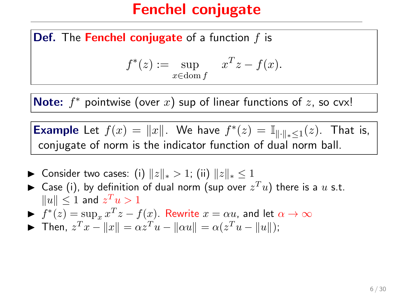**Def.** The Fenchel conjugate of a function  $f$  is

$$
f^*(z) := \sup_{x \in \text{dom } f} x^T z - f(x).
$$

**Note:**  $f^*$  pointwise (over  $x$ ) sup of linear functions of  $z$ , so cvx!

- ► Consider two cases: (i)  $||z||_* > 1$ ; (ii)  $||z||_* \leq 1$
- $\blacktriangleright$  Case (i), by definition of dual norm (sup over  $z^T u$ ) there is a  $u$  s.t.  $\|u\| \leq 1$  and  $z^T u > 1$
- $f^*(z) = \sup_x x^T z f(x)$ . Rewrite  $x = \alpha u$ , and let  $\alpha \to \infty$
- **►** Then,  $z^T x ||x|| = \alpha z^T u ||\alpha u|| = \alpha (z^T u ||u||);$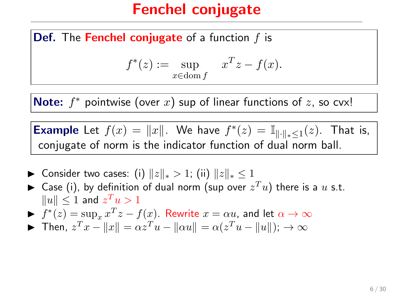**Def.** The Fenchel conjugate of a function  $f$  is

$$
f^*(z) := \sup_{x \in \text{dom } f} x^T z - f(x).
$$

**Note:**  $f^*$  pointwise (over  $x$ ) sup of linear functions of  $z$ , so cvx!

- ► Consider two cases: (i)  $||z||_* > 1$ ; (ii)  $||z||_* \leq 1$
- $\blacktriangleright$  Case (i), by definition of dual norm (sup over  $z^T u$ ) there is a  $u$  s.t.  $\|u\| \leq 1$  and  $z^T u > 1$
- $f^*(z) = \sup_x x^T z f(x)$ . Rewrite  $x = \alpha u$ , and let  $\alpha \to \infty$
- **►** Then,  $z^T x ||x|| = \alpha z^T u ||\alpha u|| = \alpha (z^T u ||u||); \ \rightarrow \infty$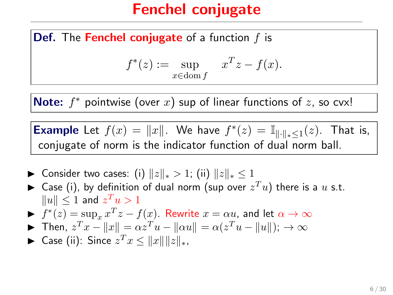**Def.** The Fenchel conjugate of a function  $f$  is

$$
f^*(z) := \sup_{x \in \text{dom } f} x^T z - f(x).
$$

**Note:**  $f^*$  pointwise (over  $x$ ) sup of linear functions of  $z$ , so cvx!

- ► Consider two cases: (i)  $||z||_* > 1$ ; (ii)  $||z||_* \leq 1$
- $\blacktriangleright$  Case (i), by definition of dual norm (sup over  $z^T u$ ) there is a  $u$  s.t.  $\|u\| \leq 1$  and  $z^T u > 1$
- $f^*(z) = \sup_x x^T z f(x)$ . Rewrite  $x = \alpha u$ , and let  $\alpha \to \infty$
- **►** Then,  $z^T x ||x|| = \alpha z^T u ||\alpha u|| = \alpha (z^T u ||u||); \ \rightarrow \infty$
- ► Case (ii): Since  $z^T x \le ||x|| ||z||_*$ ,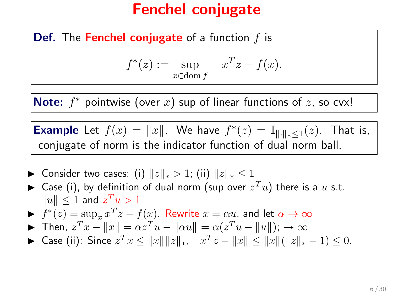**Def.** The Fenchel conjugate of a function  $f$  is

$$
f^*(z) := \sup_{x \in \text{dom } f} x^T z - f(x).
$$

**Note:**  $f^*$  pointwise (over  $x$ ) sup of linear functions of  $z$ , so cvx!

- ► Consider two cases: (i)  $||z||_* > 1$ ; (ii)  $||z||_* \leq 1$
- $\blacktriangleright$  Case (i), by definition of dual norm (sup over  $z^T u$ ) there is a  $u$  s.t.  $\|u\| \leq 1$  and  $z^T u > 1$
- $f^*(z) = \sup_x x^T z f(x)$ . Rewrite  $x = \alpha u$ , and let  $\alpha \to \infty$
- **►** Then,  $z^T x ||x|| = \alpha z^T u ||\alpha u|| = \alpha (z^T u ||u||); \rightarrow \infty$
- ► Case (ii): Since  $z^T x \le ||x|| ||z||_*$ ,  $x^T z ||x|| \le ||x|| (||z||_* 1) \le 0$ .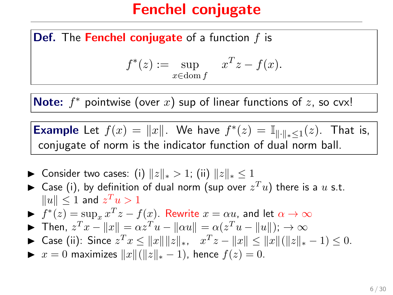**Def.** The Fenchel conjugate of a function  $f$  is

$$
f^*(z) := \sup_{x \in \text{dom } f} x^T z - f(x).
$$

**Note:**  $f^*$  pointwise (over  $x$ ) sup of linear functions of  $z$ , so cvx!

- ▶ Consider two cases: (i)  $||z||_* > 1$ ; (ii)  $||z||_* \leq 1$
- $\blacktriangleright$  Case (i), by definition of dual norm (sup over  $z^T u$ ) there is a  $u$  s.t.  $\|u\| \leq 1$  and  $z^T u > 1$
- $f^*(z) = \sup_x x^T z f(x)$ . Rewrite  $x = \alpha u$ , and let  $\alpha \to \infty$
- **►** Then,  $z^T x ||x|| = \alpha z^T u ||\alpha u|| = \alpha (z^T u ||u||); \rightarrow \infty$
- ► Case (ii): Since  $z^T x \le ||x|| ||z||_*$ ,  $x^T z ||x|| \le ||x|| (||z||_* 1) \le 0$ .
- $\triangleright$   $x = 0$  maximizes  $||x|| (||z||_* 1)$ , hence  $f(z) = 0$ .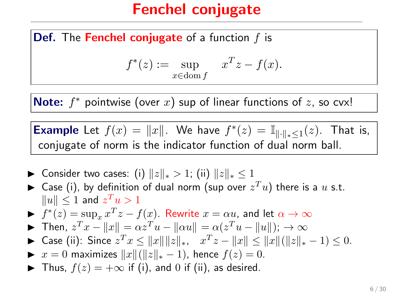**Def.** The Fenchel conjugate of a function  $f$  is

$$
f^*(z) := \sup_{x \in \text{dom } f} x^T z - f(x).
$$

**Note:**  $f^*$  pointwise (over  $x$ ) sup of linear functions of  $z$ , so cvx!

- ▶ Consider two cases: (i)  $||z||_* > 1$ ; (ii)  $||z||_* \leq 1$
- $\blacktriangleright$  Case (i), by definition of dual norm (sup over  $z^T u$ ) there is a  $u$  s.t.  $\|u\| \leq 1$  and  $z^T u > 1$
- $f^*(z) = \sup_x x^T z f(x)$ . Rewrite  $x = \alpha u$ , and let  $\alpha \to \infty$
- **►** Then,  $z^T x ||x|| = \alpha z^T u ||\alpha u|| = \alpha (z^T u ||u||); \rightarrow \infty$
- ► Case (ii): Since  $z^T x \le ||x|| ||z||_*$ ,  $x^T z ||x|| \le ||x|| (||z||_* 1) \le 0$ .
- $\triangleright$   $x = 0$  maximizes  $||x|| (||z||_* 1)$ , hence  $f(z) = 0$ .
- ▶ Thus,  $f(z) = +\infty$  if (i), and 0 if (ii), as desired.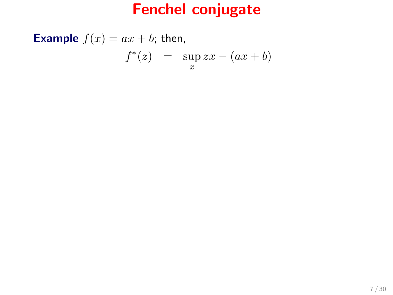**Example**  $f(x) = ax + b$ ; then,

$$
f^*(z) = \sup_x zx - (ax + b)
$$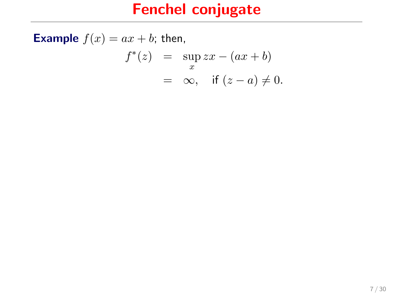**Example**  $f(x) = ax + b$ ; then,  $f^*(z) = \sup_x zx - (ax + b)$ 

$$
= \infty, \quad \text{if } (z-a) \neq 0.
$$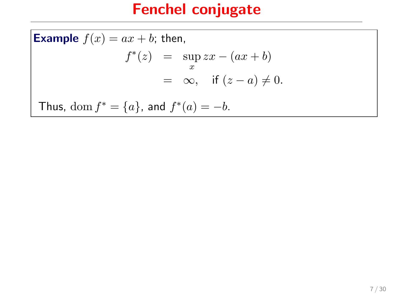**Example**  $f(x) = ax + b$ ; then,  $f^*(z) = \sup_x zx - (ax + b)$  $= \infty$ , if  $(z - a) \neq 0$ . Thus,  $\text{dom } f^* = \{a\}$ , and  $f^*(a) = -b$ .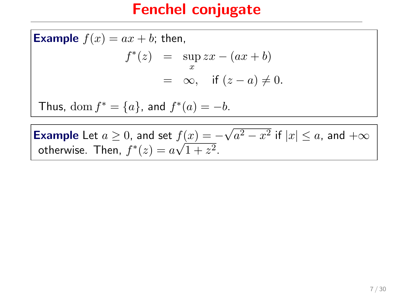**Example**  $f(x) = ax + b$ ; then,  $f^*(z) = \sup_{x} zx - (ax + b)$ x  $= \infty$ , if  $(z - a) \neq 0$ . Thus,  $\text{dom } f^* = \{a\}$ , and  $f^*(a) = -b$ .

**Example** Let  $a \ge 0$ , and set  $f(x) = -\sqrt{a^2 - x^2}$  if  $|x| \le a$ , and  $+\infty$ otherwise. Then,  $f^*(z) = a\sqrt{1+z^2}$ .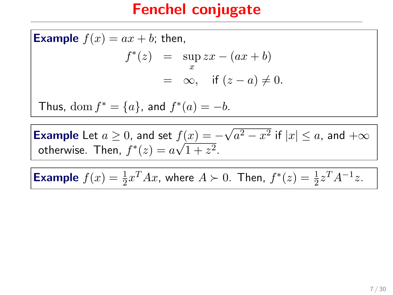**Example**  $f(x) = ax + b$ ; then,  $f^*(z) = \sup_{x} zx - (ax + b)$ x  $= \infty$ , if  $(z - a) \neq 0$ . Thus,  $\text{dom } f^* = \{a\}$ , and  $f^*(a) = -b$ .

**Example** Let  $a \ge 0$ , and set  $f(x) = -\sqrt{a^2 - x^2}$  if  $|x| \le a$ , and  $+\infty$ otherwise. Then,  $f^*(z) = a\sqrt{1+z^2}$ .

**Example**  $f(x) = \frac{1}{2}x^T A x$ , where  $A \succ 0$ . Then,  $f^*(z) = \frac{1}{2}z^T A^{-1} z$ .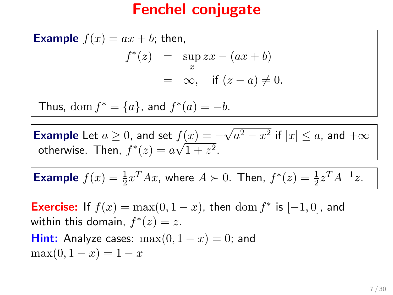**Example**  $f(x) = ax + b$ ; then,  $f^*(z) = \sup_{x} zx - (ax + b)$ x  $= \infty$ , if  $(z - a) \neq 0$ . Thus,  $\text{dom } f^* = \{a\}$ , and  $f^*(a) = -b$ .

**Example** Let  $a \ge 0$ , and set  $f(x) = -\sqrt{a^2 - x^2}$  if  $|x| \le a$ , and  $+\infty$ otherwise. Then,  $f^*(z) = a\sqrt{1+z^2}$ .

**Example**  $f(x) = \frac{1}{2}x^T A x$ , where  $A \succ 0$ . Then,  $f^*(z) = \frac{1}{2}z^T A^{-1} z$ .

**Exercise:** If  $f(x) = \max(0, 1 - x)$ , then dom  $f^*$  is  $[-1, 0]$ , and within this domain,  $f^*(z)=z.$ **Hint:** Analyze cases:  $\max(0, 1 - x) = 0$ ; and  $\max(0, 1 - x) = 1 - x$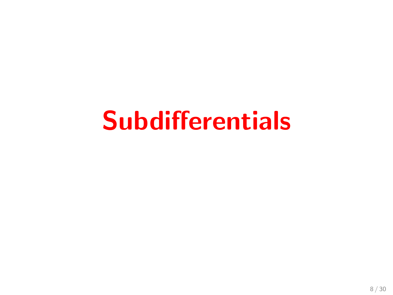# Subdifferentials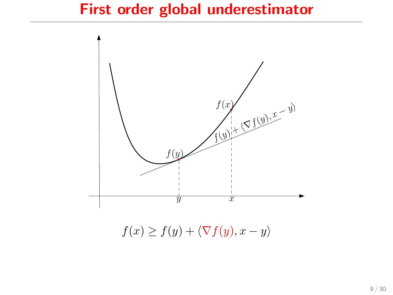#### First order global underestimator



 $f(x) \geq f(y) + \langle \nabla f(y), x - y \rangle$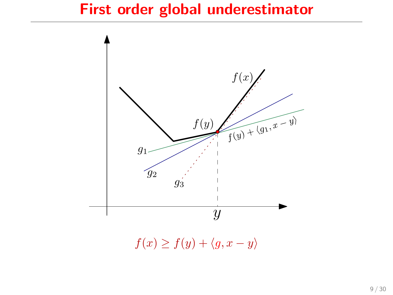#### First order global underestimator



 $f(x) \geq f(y) + \langle g, x - y \rangle$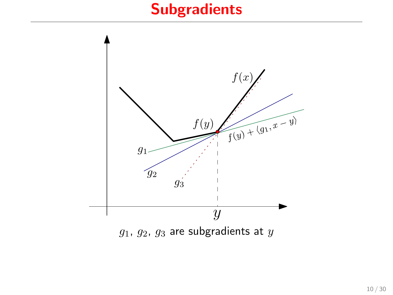# **Subgradients**

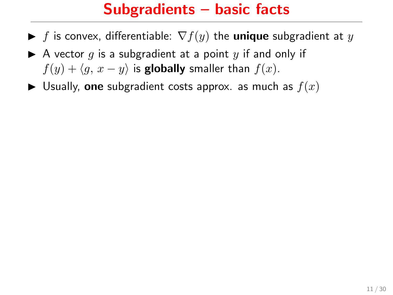#### Subgradients – basic facts

- $\blacktriangleright$  f is convex, differentiable:  $\nabla f(y)$  the **unique** subgradient at y
- A vector q is a subgradient at a point y if and only if  $f(y) + \langle q, x - y \rangle$  is globally smaller than  $f(x)$ .
- $\blacktriangleright$  Usually, one subgradient costs approx. as much as  $f(x)$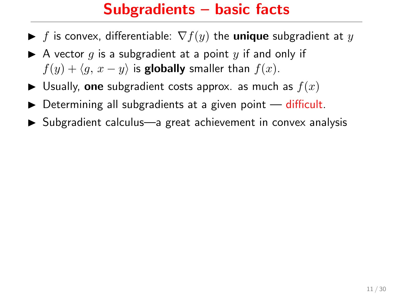#### Subgradients – basic facts

- $\blacktriangleright$  f is convex, differentiable:  $\nabla f(y)$  the **unique** subgradient at y
- A vector q is a subgradient at a point y if and only if  $f(y) + \langle q, x - y \rangle$  is globally smaller than  $f(x)$ .
- $\blacktriangleright$  Usually, one subgradient costs approx. as much as  $f(x)$
- $\triangleright$  Determining all subgradients at a given point  $-$  difficult.
- ▶ Subgradient calculus—a great achievement in convex analysis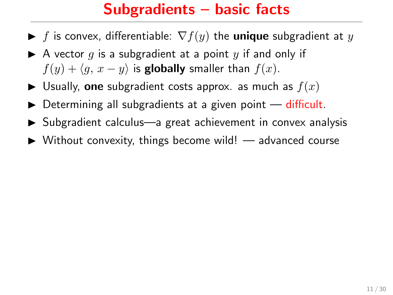#### Subgradients – basic facts

- $\blacktriangleright$  f is convex, differentiable:  $\nabla f(y)$  the **unique** subgradient at y
- A vector q is a subgradient at a point y if and only if  $f(y) + \langle q, x - y \rangle$  is globally smaller than  $f(x)$ .
- $\blacktriangleright$  Usually, one subgradient costs approx. as much as  $f(x)$
- $\triangleright$  Determining all subgradients at a given point  $-$  difficult.
- $\triangleright$  Subgradient calculus—a great achievement in convex analysis
- $\triangleright$  Without convexity, things become wild! advanced course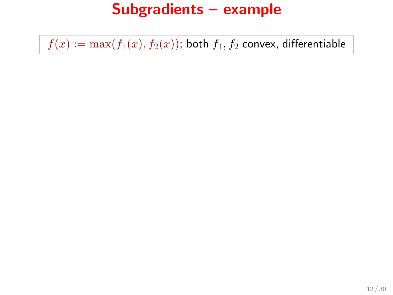#### Subgradients – example

 $f(x) := \max(f_1(x), f_2(x))$ ; both  $f_1, f_2$  convex, differentiable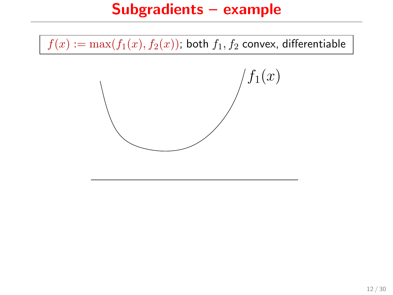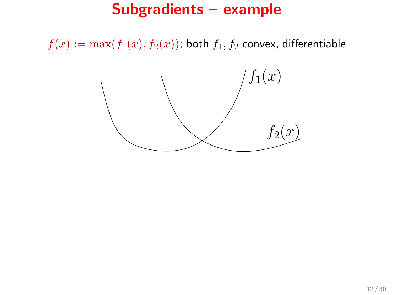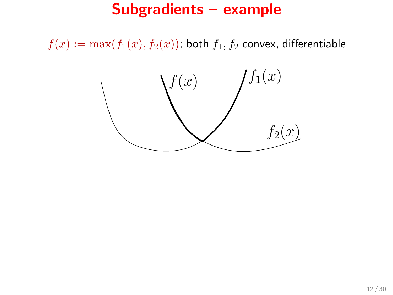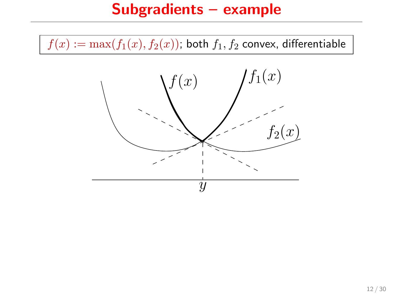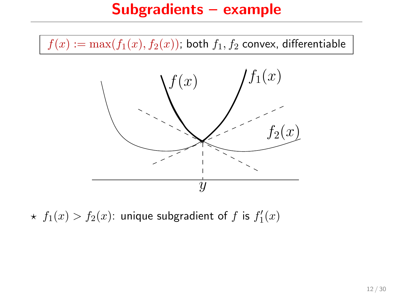$f(x) := \max(f_1(x), f_2(x))$ ; both  $f_1, f_2$  convex, differentiable



 $\star$   $f_1(x) > f_2(x)$ : unique subgradient of  $f$  is  $f_1'(x)$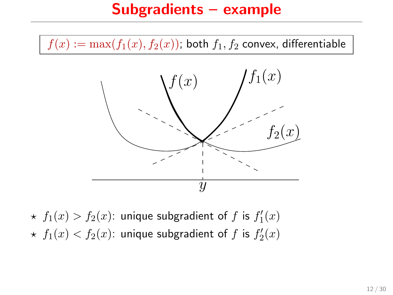$f(x) := \max(f_1(x), f_2(x))$ ; both  $f_1, f_2$  convex, differentiable



 $\star$   $f_1(x) > f_2(x)$ : unique subgradient of  $f$  is  $f_1'(x)$  $\star$   $f_1(x) < f_2(x)$ : unique subgradient of  $f$  is  $f'_2(x)$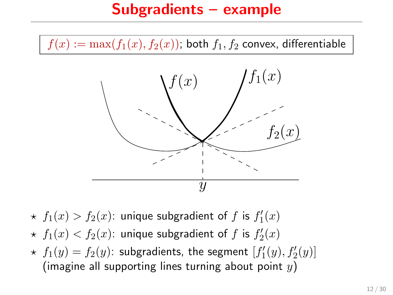

- $\star$   $f_1(x) > f_2(x)$ : unique subgradient of  $f$  is  $f_1'(x)$
- $\star$   $f_1(x) < f_2(x)$ : unique subgradient of  $f$  is  $f'_2(x)$
- $\star$   $f_1(y) = f_2(y)$ : subgradients, the segment  $[f'_1(y), f'_2(y)]$ (imagine all supporting lines turning about point  $y$ )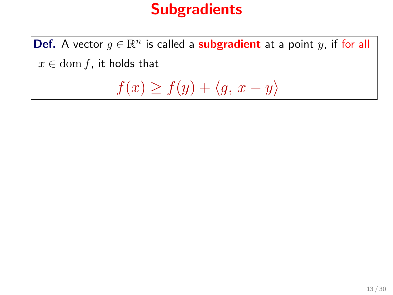# **Subgradients**

**Def.** A vector  $g \in \mathbb{R}^n$  is called a **subgradient** at a point  $y$ , if for all  $x \in \text{dom } f$ , it holds that

 $f(x) \ge f(y) + \langle g, x - y \rangle$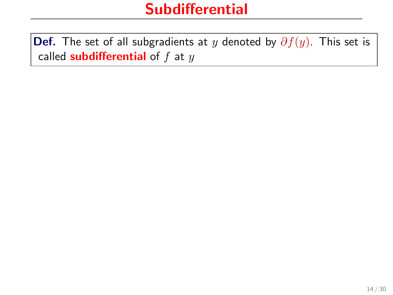**Def.** The set of all subgradients at y denoted by  $\partial f(y)$ . This set is called **subdifferential** of  $f$  at  $y$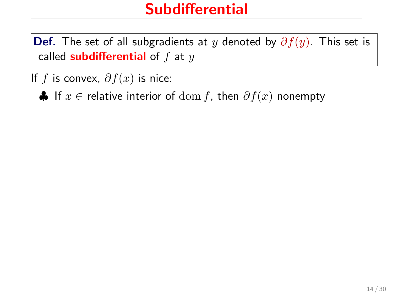**Def.** The set of all subgradients at y denoted by  $\partial f(y)$ . This set is called **subdifferential** of  $f$  at  $y$ 

If f is convex,  $\partial f(x)$  is nice:

♦ If  $x \in$  relative interior of  $\text{dom } f$ , then  $\partial f(x)$  nonempty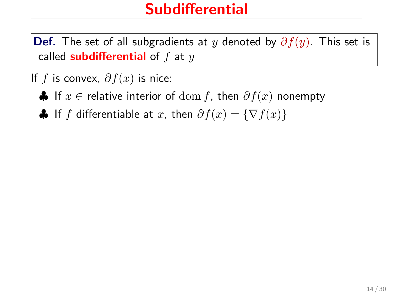**Def.** The set of all subgradients at y denoted by  $\partial f(y)$ . This set is called subdifferential of  $f$  at  $y$ 

If f is convex,  $\partial f(x)$  is nice:

 $\clubsuit$  If  $x \in$  relative interior of  $dom f$ , then  $\partial f(x)$  nonempty

 $\bigoplus$  If f differentiable at x, then  $\partial f(x) = \{\nabla f(x)\}\$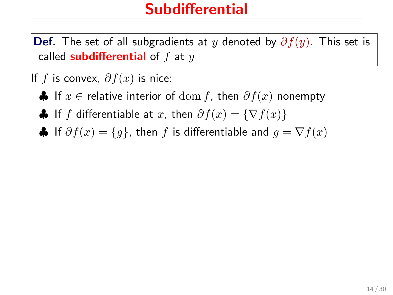**Def.** The set of all subgradients at y denoted by  $\partial f(y)$ . This set is called **subdifferential** of  $f$  at  $y$ 

If f is convex,  $\partial f(x)$  is nice:

- $\clubsuit$  If  $x \in$  relative interior of  $dom f$ , then  $\partial f(x)$  nonempty
- $\clubsuit$  If f differentiable at x, then  $\partial f(x) = \{\nabla f(x)\}\$
- $\clubsuit$  If  $\partial f(x) = \{g\}$ , then f is differentiable and  $g = \nabla f(x)$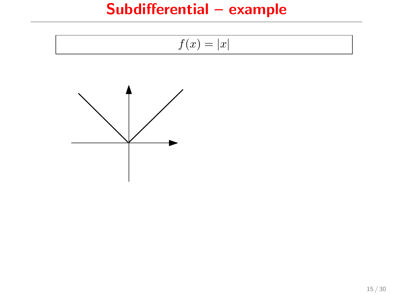## Subdifferential – example

$$
f(x) = |x|
$$

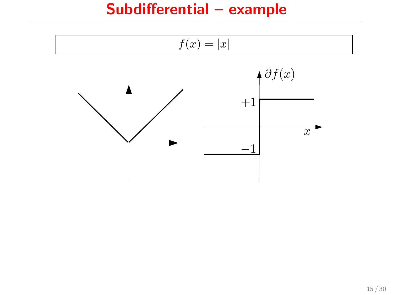## Subdifferential – example

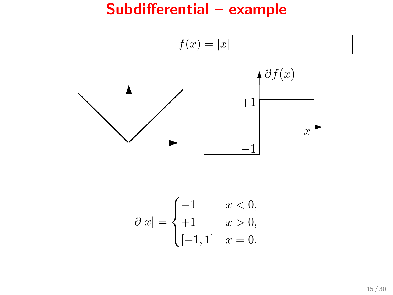### Subdifferential – example

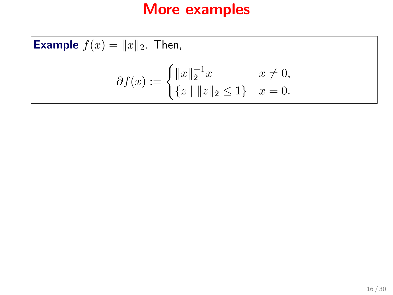**Example** 
$$
f(x) = ||x||_2
$$
. Then,  

$$
\partial f(x) := \begin{cases} ||x||_2^{-1}x & x \neq 0, \\ \{z \mid ||z||_2 \leq 1\} & x = 0. \end{cases}
$$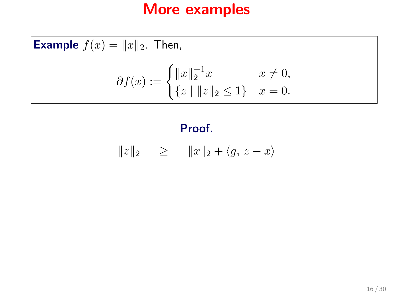**Example**  $f(x) = ||x||_2$ . Then,  $\partial f(x) := \begin{cases} ||x||_2^{-1}x & x \neq 0, \\ 0 & \text{otherwise} \end{cases}$  $\{z \mid ||z||_2 \leq 1\}$   $x = 0.$ 

### Proof.

$$
||z||_2 \ge ||x||_2 + \langle g, z - x \rangle
$$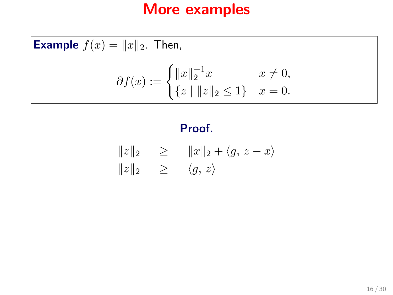**Example**  $f(x) = ||x||_2$ . Then,  $\partial f(x) := \begin{cases} ||x||_2^{-1}x & x \neq 0, \\ 0 & \text{otherwise} \end{cases}$  $\{z \mid ||z||_2 \leq 1\}$   $x = 0.$ 

### Proof.

$$
||z||_2 \ge ||x||_2 + \langle g, z - x \rangle
$$
  

$$
||z||_2 \ge \langle g, z \rangle
$$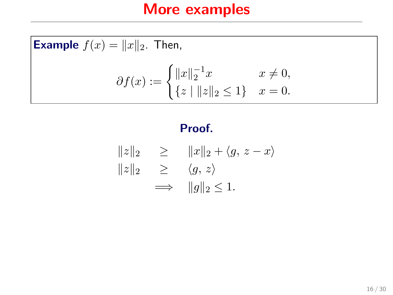**Example**  $f(x) = ||x||_2$ . Then,  $\partial f(x) := \begin{cases} ||x||_2^{-1}x & x \neq 0, \\ 0 & \text{otherwise} \end{cases}$  $\{z \mid ||z||_2 \leq 1\}$   $x = 0.$ 

### Proof.

$$
||z||_2 \ge ||x||_2 + \langle g, z - x \rangle
$$
  

$$
||z||_2 \ge \langle g, z \rangle
$$
  

$$
\implies ||g||_2 \le 1.
$$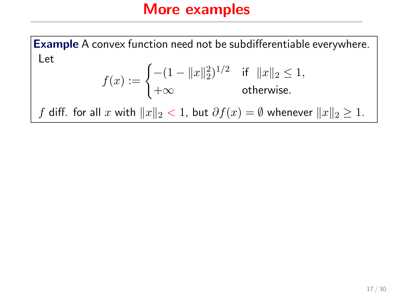Example A convex function need not be subdifferentiable everywhere. Let

$$
f(x) := \begin{cases} -(1 - \|x\|_2^2)^{1/2} & \text{if } \|x\|_2 \le 1, \\ +\infty & \text{otherwise.} \end{cases}
$$

f diff. for all x with  $||x||_2 < 1$ , but  $\partial f(x) = \emptyset$  whenever  $||x||_2 \geq 1$ .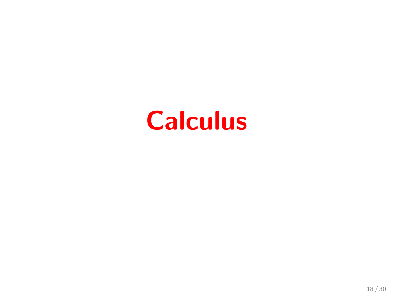# **Calculus**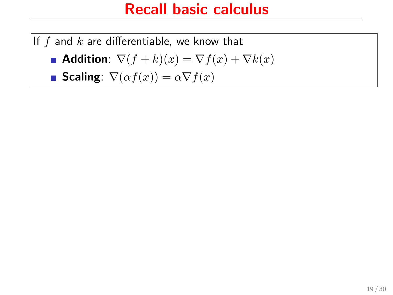## Recall basic calculus

If f and k are differentiable, we know that

$$
\blacksquare \text{ Addition: } \nabla(f+k)(x) = \nabla f(x) + \nabla k(x)
$$

Scaling:  $\nabla(\alpha f(x)) = \alpha \nabla f(x)$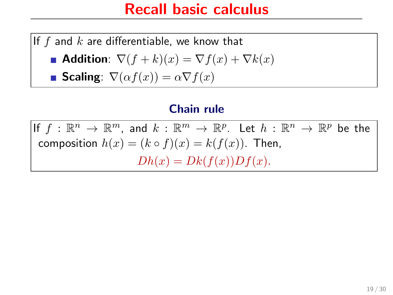### Recall basic calculus

If f and  $k$  are differentiable, we know that

$$
\blacksquare \text{ Addition: } \nabla(f+k)(x) = \nabla f(x) + \nabla k(x)
$$

Scaling:  $\nabla(\alpha f(x)) = \alpha \nabla f(x)$ 

#### Chain rule

If  $f : \mathbb{R}^n \to \mathbb{R}^m$ , and  $k : \mathbb{R}^m \to \mathbb{R}^p$ . Let  $h : \mathbb{R}^n \to \mathbb{R}^p$  be the composition  $h(x) = (k \circ f)(x) = k(f(x))$ . Then,  $Dh(x) = Dk(f(x))Df(x).$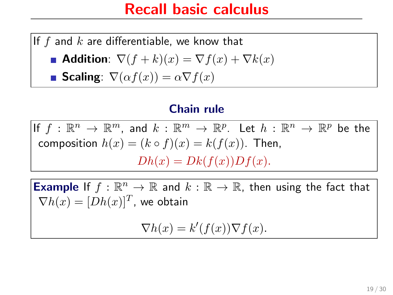### Recall basic calculus

If f and  $k$  are differentiable, we know that

$$
\blacksquare \text{ Addition: } \nabla(f+k)(x) = \nabla f(x) + \nabla k(x)
$$

**Scaling**: 
$$
\nabla(\alpha f(x)) = \alpha \nabla f(x)
$$

### Chain rule

If  $f : \mathbb{R}^n \to \mathbb{R}^m$ , and  $k : \mathbb{R}^m \to \mathbb{R}^p$ . Let  $h : \mathbb{R}^n \to \mathbb{R}^p$  be the composition  $h(x) = (k \circ f)(x) = k(f(x))$ . Then,  $Dh(x) = Dk(f(x))Df(x).$ 

**Example** If  $f : \mathbb{R}^n \to \mathbb{R}$  and  $k : \mathbb{R} \to \mathbb{R}$ , then using the fact that  $\nabla h(x) = [Dh(x)]^T$ , we obtain

$$
\nabla h(x) = k'(f(x)) \nabla f(x).
$$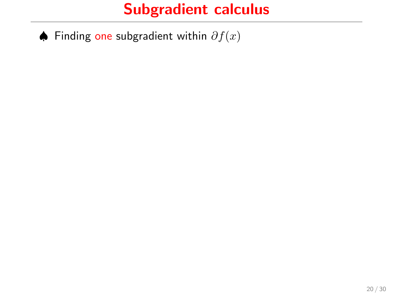♦ Finding one subgradient within  $\partial f(x)$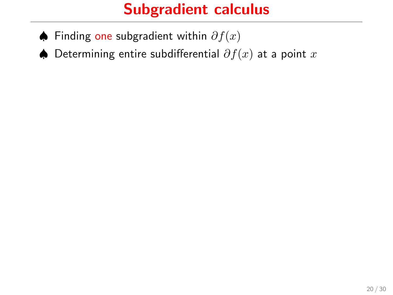- ♦ Finding one subgradient within  $\partial f(x)$
- ♦ Determining entire subdifferential  $\partial f(x)$  at a point x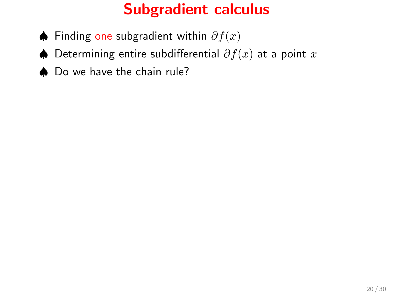- ♦ Finding one subgradient within  $\partial f(x)$
- ♦ Determining entire subdifferential  $\partial f(x)$  at a point x
- ♠ Do we have the chain rule?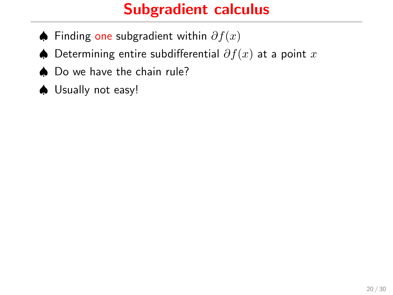- ♦ Finding one subgradient within  $\partial f(x)$
- ♦ Determining entire subdifferential  $\partial f(x)$  at a point x
- ♠ Do we have the chain rule?
- ♠ Usually not easy!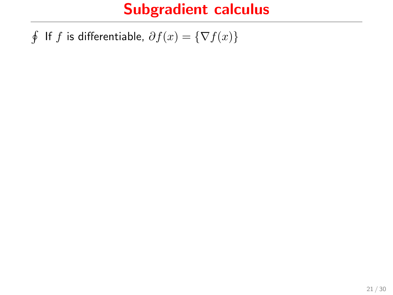∮ If  $f$  is differentiable,  $\partial f(x) = \{ \nabla f(x) \}$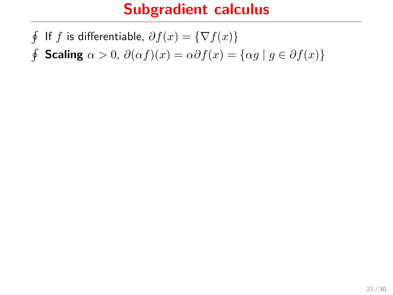∮ If  $f$  is differentiable,  $\partial f(x) = \{ \nabla f(x) \}$  $\oint$  Scaling  $\alpha > 0$ ,  $\partial(\alpha f)(x) = \alpha \partial f(x) = {\alpha g \mid g \in \partial f(x)}$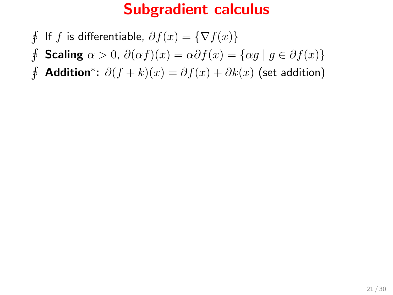- $\oint$ If f is differentiable,  $\partial f(x) = \{\nabla f(x)\}\$
- $\oint$ Scaling  $\alpha > 0$ ,  $\partial(\alpha f)(x) = \alpha \partial f(x) = \{\alpha g \mid g \in \partial f(x)\}\$
- ∮ Addition\*:  $\partial (f + k)(x) = \partial f(x) + \partial k(x)$  (set addition)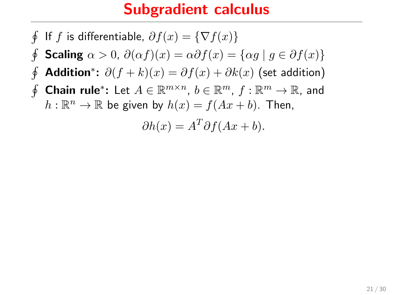$$
\oint \text{ If } f \text{ is differentiable, } \partial f(x) = \{ \nabla f(x) \}
$$
\n
$$
\oint \text{Scaling } \alpha > 0, \ \partial(\alpha f)(x) = \alpha \partial f(x) = \{ \alpha g \mid g \in \partial f(x) \}
$$
\n
$$
\oint \text{Addition}^* \colon \partial (f + k)(x) = \partial f(x) + \partial k(x) \text{ (set addition)}
$$
\n
$$
\oint \text{Chain rule}^* \colon \text{Let } A \in \mathbb{R}^{m \times n}, \ b \in \mathbb{R}^m, \ f : \mathbb{R}^m \to \mathbb{R}, \text{ and}
$$
\n
$$
h : \mathbb{R}^n \to \mathbb{R} \text{ be given by } h(x) = f(Ax + b). \text{ Then,}
$$
\n
$$
\partial h(x) = A^T \partial f(Ax + b).
$$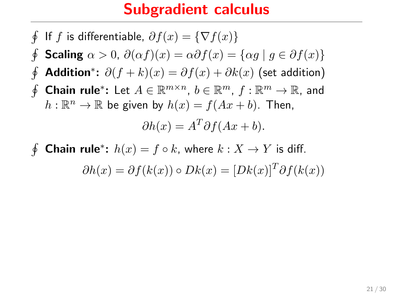$$
\oint \text{ If } f \text{ is differentiable, } \partial f(x) = \{ \nabla f(x) \}
$$
\n
$$
\oint \text{Scaling } \alpha > 0, \ \partial(\alpha f)(x) = \alpha \partial f(x) = \{ \alpha g \mid g \in \partial f(x) \}
$$
\n
$$
\oint \text{Addition}^* \colon \partial (f + k)(x) = \partial f(x) + \partial k(x) \text{ (set addition)}
$$
\n
$$
\oint \text{Chain rule}^* \colon \text{Let } A \in \mathbb{R}^{m \times n}, \ b \in \mathbb{R}^m, \ f : \mathbb{R}^m \to \mathbb{R}, \text{ and}
$$
\n
$$
h : \mathbb{R}^n \to \mathbb{R} \text{ be given by } h(x) = f(Ax + b). \text{ Then,}
$$
\n
$$
\partial h(x) = A^T \partial f(Ax + b).
$$

 $\oint$ **Chain rule**<sup>\*</sup>:  $h(x) = f \circ k$ , where  $k : X \to Y$  is diff.  $\partial h(x) = \partial f(k(x)) \circ Dk(x) = [Dk(x)]^T \partial f(k(x))$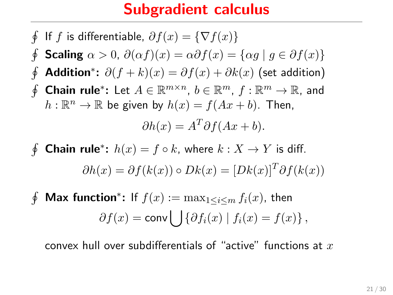$$
\oint \text{ If } f \text{ is differentiable, } \partial f(x) = \{ \nabla f(x) \}
$$
\n
$$
\oint \text{Scaling } \alpha > 0, \ \partial(\alpha f)(x) = \alpha \partial f(x) = \{ \alpha g \mid g \in \partial f(x) \}
$$
\n
$$
\oint \text{Addition}^* \colon \partial (f + k)(x) = \partial f(x) + \partial k(x) \text{ (set addition)}
$$
\n
$$
\oint \text{Chain rule}^* \colon \text{Let } A \in \mathbb{R}^{m \times n}, \ b \in \mathbb{R}^m, \ f : \mathbb{R}^m \to \mathbb{R}, \text{ and}
$$
\n
$$
h : \mathbb{R}^n \to \mathbb{R} \text{ be given by } h(x) = f(Ax + b). \text{ Then,}
$$
\n
$$
\partial h(x) = A^T \partial f(Ax + b).
$$

 $\oint$ **Chain rule**<sup>\*</sup>:  $h(x) = f \circ k$ , where  $k : X \to Y$  is diff.  $\partial h(x) = \partial f(k(x)) \circ Dk(x) = [Dk(x)]^T \partial f(k(x))$ 

 $\oint$ **Max function**\*: If  $f(x) := \max_{1 \leq i \leq m} f_i(x)$ , then  $\partial f(x) = \text{conv} \bigcup \{ \partial f_i(x) \mid f_i(x) = f(x) \},$ 

convex hull over subdifferentials of "active" functions at  $x$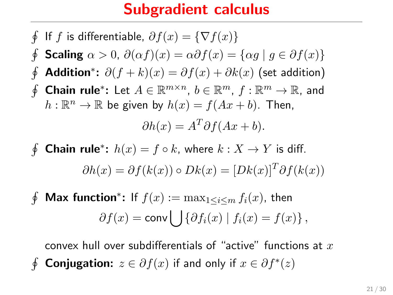$$
\oint \text{ If } f \text{ is differentiable, } \partial f(x) = \{ \nabla f(x) \}
$$
\n
$$
\oint \text{Scaling } \alpha > 0, \ \partial(\alpha f)(x) = \alpha \partial f(x) = \{ \alpha g \mid g \in \partial f(x) \}
$$
\n
$$
\oint \text{Addition}^* \colon \partial (f + k)(x) = \partial f(x) + \partial k(x) \text{ (set addition)}
$$
\n
$$
\oint \text{Chain rule}^* \colon \text{Let } A \in \mathbb{R}^{m \times n}, \ b \in \mathbb{R}^m, \ f : \mathbb{R}^m \to \mathbb{R}, \text{ and}
$$
\n
$$
h : \mathbb{R}^n \to \mathbb{R} \text{ be given by } h(x) = f(Ax + b). \text{ Then,}
$$
\n
$$
\partial h(x) = A^T \partial f(Ax + b).
$$

 $\oint$ **Chain rule**<sup>\*</sup>:  $h(x) = f \circ k$ , where  $k : X \to Y$  is diff.  $\partial h(x) = \partial f(k(x)) \circ Dk(x) = [Dk(x)]^T \partial f(k(x))$ 

 $\oint$ **Max function**\*: If  $f(x) := \max_{1 \leq i \leq m} f_i(x)$ , then  $\partial f(x) = \text{conv} \bigcup \{ \partial f_i(x) \mid f_i(x) = f(x) \},$ 

convex hull over subdifferentials of "active" functions at  $x$ ∮ Conjugation:  $z \in \partial f(x)$  if and only if  $x \in \partial f^*(z)$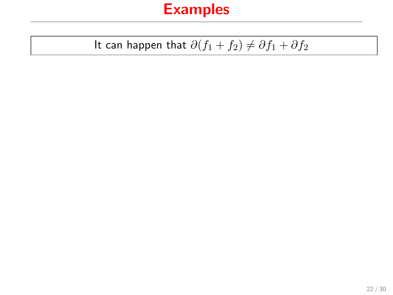## Examples

# It can happen that  $\partial (f_1 + f_2) \neq \partial f_1 + \partial f_2$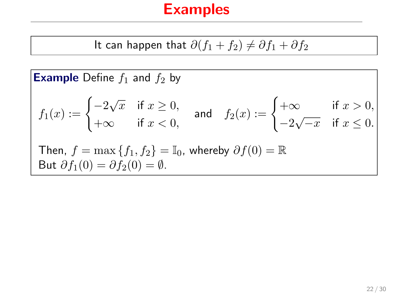It can happen that 
$$
\partial(f_1 + f_2) \neq \partial f_1 + \partial f_2
$$

**Example** Define  $f_1$  and  $f_2$  by

$$
f_1(x) := \begin{cases} -2\sqrt{x} & \text{if } x \ge 0, \\ +\infty & \text{if } x < 0, \end{cases} \text{ and } f_2(x) := \begin{cases} +\infty & \text{if } x > 0, \\ -2\sqrt{-x} & \text{if } x \le 0. \end{cases}
$$
  
Then,  $f = \max\{f_1, f_2\} = \mathbb{I}_0$ , whereby  $\partial f(0) = \mathbb{R}$   
But  $\partial f_1(0) = \partial f_2(0) = \emptyset$ .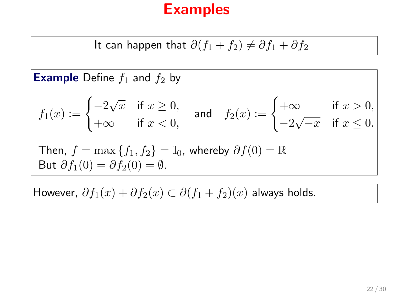It can happen that 
$$
\partial(f_1 + f_2) \neq \partial f_1 + \partial f_2
$$

**Example** Define  $f_1$  and  $f_2$  by

$$
f_1(x) := \begin{cases} -2\sqrt{x} & \text{if } x \ge 0, \\ +\infty & \text{if } x < 0, \end{cases} \text{ and } f_2(x) := \begin{cases} +\infty & \text{if } x > 0, \\ -2\sqrt{-x} & \text{if } x \le 0. \end{cases}
$$
  
Then,  $f = \max\{f_1, f_2\} = \mathbb{I}_0$ , whereby  $\partial f(0) = \mathbb{R}$   
But  $\partial f_1(0) = \partial f_2(0) = \emptyset$ .

However,  $\partial f_1(x)+\partial f_2(x)\subset \partial (f_1+f_2)(x)$  always holds.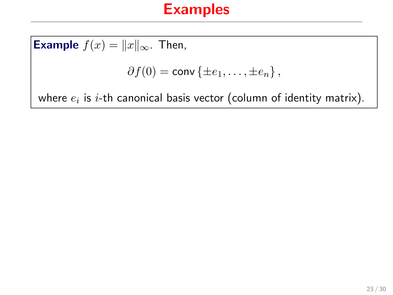**Example**  $f(x) = ||x||_{\infty}$ . Then,  $\partial f(0) = \text{conv} \{ \pm e_1, \ldots, \pm e_n \},$ where  $e_i$  is  $i\text{-th}$  canonical basis vector (column of identity matrix).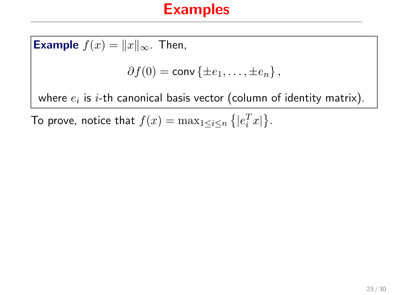**Example**  $f(x) = ||x||_{\infty}$ . Then,  $\partial f(0) = \text{conv} \{ \pm e_1, \ldots, \pm e_n \},$ where  $e_i$  is  $i\text{-th}$  canonical basis vector (column of identity matrix).

To prove, notice that  $f(x) = \max_{1 \leq i \leq n} \left\{ |e_i^T x| \right\}$ .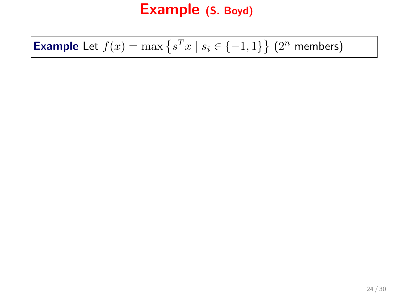## **Example** Let  $f(x) = \max\{s^T x \mid s_i \in \{-1, 1\}\}\ (2^n \text{ members})$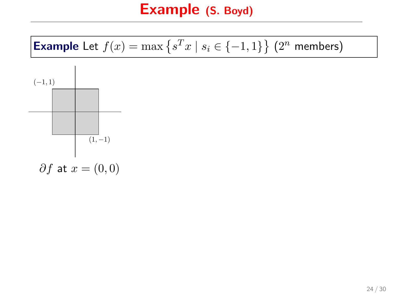**Example** Let 
$$
f(x) = \max \{ s^T x \mid s_i \in \{-1, 1\} \}
$$
 (2<sup>n</sup> members)

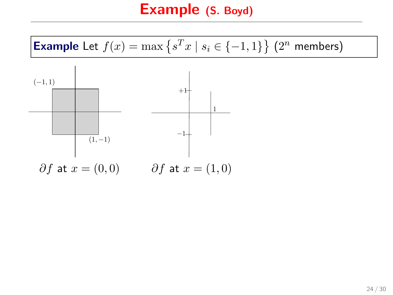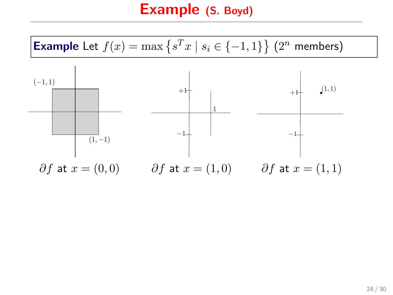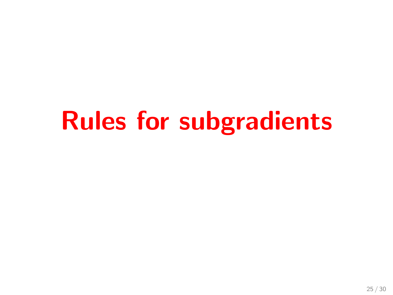# Rules for subgradients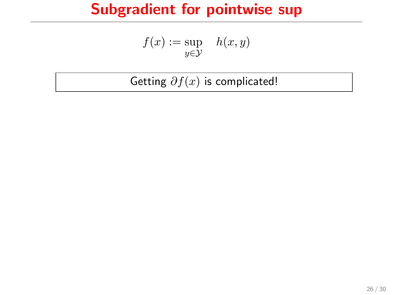$$
f(x) := \sup_{y \in \mathcal{Y}} \quad h(x, y)
$$

Getting  $\partial f(x)$  is complicated!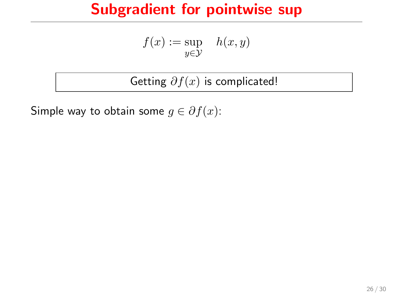$$
f(x) := \sup_{y \in \mathcal{Y}} \quad h(x, y)
$$

Getting  $\partial f(x)$  is complicated!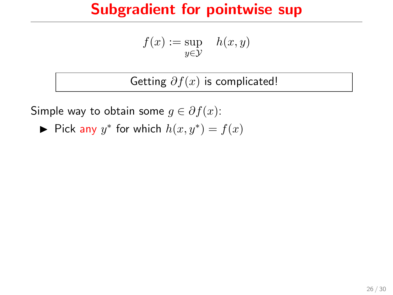$$
f(x) := \sup_{y \in \mathcal{Y}} \quad h(x, y)
$$

Getting  $\partial f(x)$  is complicated!

Simple way to obtain some  $g \in \partial f(x)$ :

► Pick any  $y^*$  for which  $h(x, y^*) = f(x)$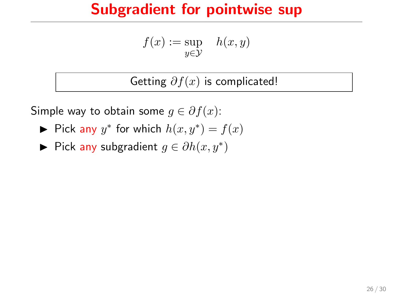$$
f(x) := \sup_{y \in \mathcal{Y}} \quad h(x, y)
$$

Getting  $\partial f(x)$  is complicated!

- ► Pick any  $y^*$  for which  $h(x, y^*) = f(x)$
- ► Pick any subgradient  $g \in \partial h(x, y^*)$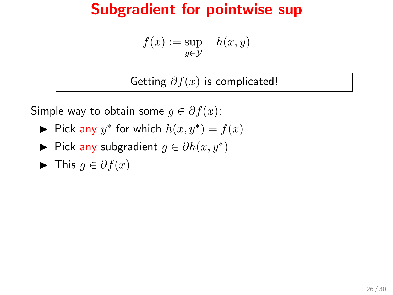$$
f(x) := \sup_{y \in \mathcal{Y}} \quad h(x, y)
$$

Getting  $\partial f(x)$  is complicated!

- ► Pick any  $y^*$  for which  $h(x, y^*) = f(x)$
- ► Pick any subgradient  $g \in \partial h(x, y^*)$
- $\blacktriangleright$  This  $q \in \partial f(x)$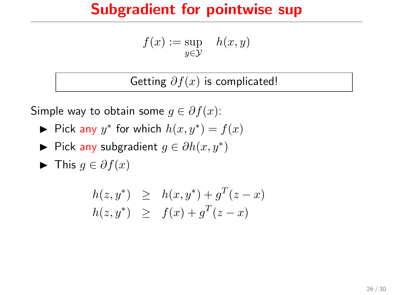$$
f(x) := \sup_{y \in \mathcal{Y}} \quad h(x, y)
$$

Getting  $\partial f(x)$  is complicated!

- ► Pick any  $y^*$  for which  $h(x, y^*) = f(x)$
- ► Pick any subgradient  $g \in \partial h(x, y^*)$
- $\blacktriangleright$  This  $q \in \partial f(x)$

$$
h(z, y^*) \geq h(x, y^*) + g^T(z - x) h(z, y^*) \geq f(x) + g^T(z - x)
$$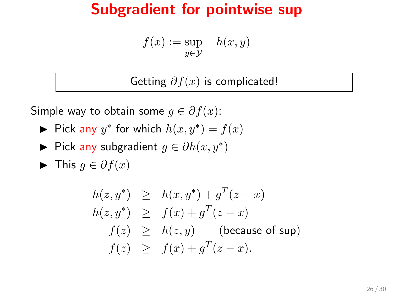$$
f(x) := \sup_{y \in \mathcal{Y}} \quad h(x, y)
$$

Getting  $\partial f(x)$  is complicated!

- ► Pick any  $y^*$  for which  $h(x, y^*) = f(x)$
- ► Pick any subgradient  $g \in \partial h(x, y^*)$
- $\blacktriangleright$  This  $q \in \partial f(x)$

$$
h(z, y^*) \geq h(x, y^*) + g^T(z - x)
$$
  
\n
$$
h(z, y^*) \geq f(x) + g^T(z - x)
$$
  
\n
$$
f(z) \geq h(z, y)
$$
 (because of sup)  
\n
$$
f(z) \geq f(x) + g^T(z - x).
$$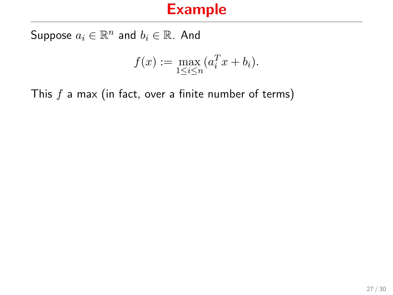Suppose  $a_i \in \mathbb{R}^n$  and  $b_i \in \mathbb{R}$ . And

$$
f(x) := \max_{1 \le i \le n} (a_i^T x + b_i).
$$

This  $f$  a max (in fact, over a finite number of terms)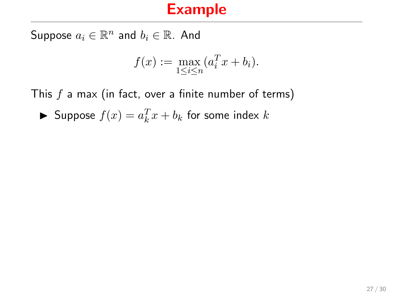Suppose  $a_i \in \mathbb{R}^n$  and  $b_i \in \mathbb{R}$ . And

$$
f(x) := \max_{1 \le i \le n} (a_i^T x + b_i).
$$

This  $f$  a max (in fact, over a finite number of terms)

Suppose  $f(x) = a_k^T x + b_k$  for some index k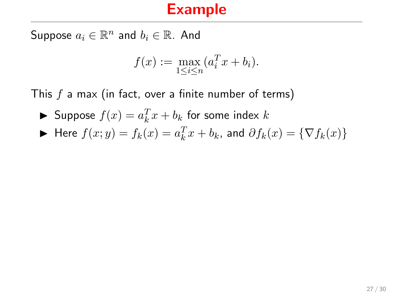Suppose  $a_i \in \mathbb{R}^n$  and  $b_i \in \mathbb{R}$ . And

$$
f(x) := \max_{1 \le i \le n} (a_i^T x + b_i).
$$

This  $f$  a max (in fact, over a finite number of terms)

Suppose  $f(x) = a_k^T x + b_k$  for some index k

$$
\blacktriangleright \text{ Here } f(x; y) = f_k(x) = a_k^T x + b_k \text{, and } \partial f_k(x) = \{ \nabla f_k(x) \}
$$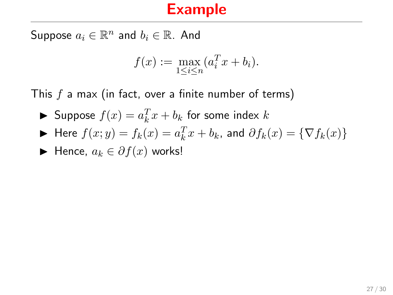Suppose  $a_i \in \mathbb{R}^n$  and  $b_i \in \mathbb{R}$ . And

$$
f(x) := \max_{1 \le i \le n} (a_i^T x + b_i).
$$

This  $f$  a max (in fact, over a finite number of terms)

Suppose  $f(x) = a_k^T x + b_k$  for some index k

$$
\blacktriangleright \text{ Here } f(x; y) = f_k(x) = a_k^T x + b_k \text{, and } \partial f_k(x) = \{ \nabla f_k(x) \}
$$

$$
\blacktriangleright \text{ Hence, } a_k \in \partial f(x) \text{ works!}
$$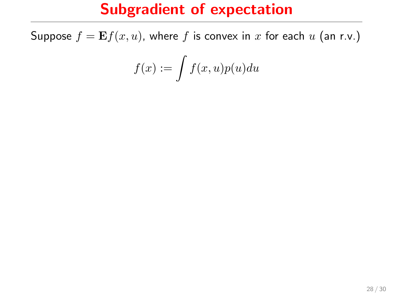## Subgradient of expectation

Suppose  $f = \mathbf{E} f(x, u)$ , where f is convex in x for each u (an r.v.)

$$
f(x):=\int f(x,u)p(u)du
$$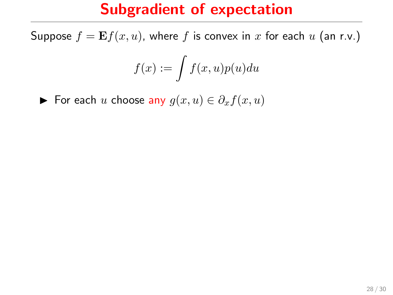## Subgradient of expectation

Suppose  $f = \mathbf{E} f(x, u)$ , where f is convex in x for each u (an r.v.)

$$
f(x):=\int f(x,u)p(u)du
$$

► For each u choose any  $g(x, u) \in \partial_x f(x, u)$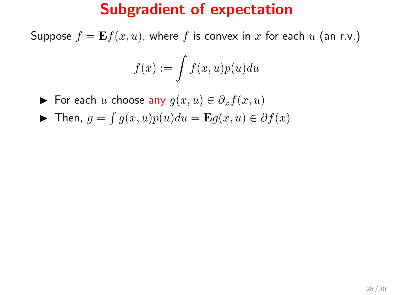## Subgradient of expectation

Suppose  $f = \mathbf{E} f(x, u)$ , where f is convex in x for each u (an r.v.)

$$
f(x):=\int f(x,u)p(u)du
$$

► For each u choose any  $g(x, u) \in \partial_x f(x, u)$ 

► Then,  $g = \int g(x, u)p(u)du = \mathbf{E}g(x, u) \in \partial f(x)$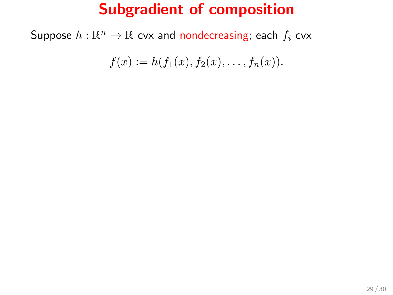Suppose  $h:\mathbb{R}^n\rightarrow\mathbb{R}$  cvx and nondecreasing; each  $f_i$  cvx

$$
f(x) := h(f_1(x), f_2(x), \dots, f_n(x)).
$$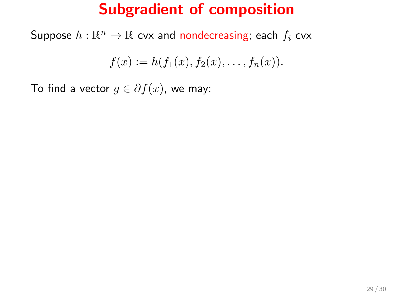Suppose  $h:\mathbb{R}^n\rightarrow\mathbb{R}$  cvx and nondecreasing; each  $f_i$  cvx

$$
f(x) := h(f_1(x), f_2(x), \dots, f_n(x)).
$$

To find a vector  $g \in \partial f(x)$ , we may: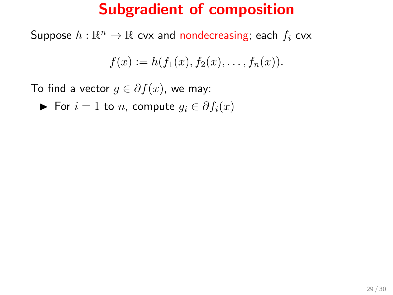Suppose  $h:\mathbb{R}^n\rightarrow\mathbb{R}$  cvx and nondecreasing; each  $f_i$  cvx

$$
f(x) := h(f_1(x), f_2(x), \dots, f_n(x)).
$$

To find a vector  $q \in \partial f(x)$ , we may:

 $\triangleright$  For  $i = 1$  to *n*, compute  $q_i \in \partial f_i(x)$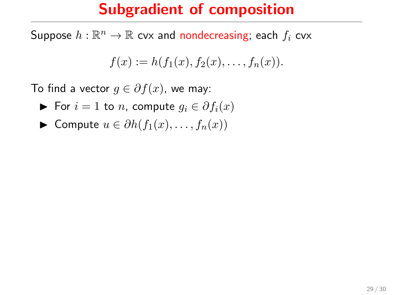Suppose  $h:\mathbb{R}^n\rightarrow\mathbb{R}$  cvx and nondecreasing; each  $f_i$  cvx

$$
f(x) := h(f_1(x), f_2(x), \dots, f_n(x)).
$$

To find a vector  $q \in \partial f(x)$ , we may:

- **►** For  $i = 1$  to *n*, compute  $q_i \in \partial f_i(x)$
- $\triangleright$  Compute  $u \in \partial h(f_1(x), \ldots, f_n(x))$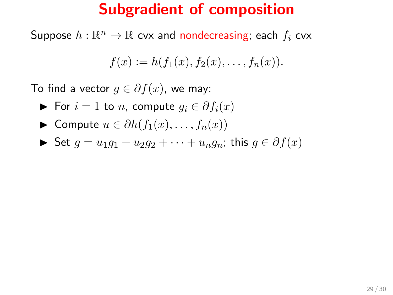Suppose  $h:\mathbb{R}^n\rightarrow\mathbb{R}$  cvx and nondecreasing; each  $f_i$  cvx

$$
f(x) := h(f_1(x), f_2(x), \dots, f_n(x)).
$$

To find a vector  $q \in \partial f(x)$ , we may:

- **►** For  $i = 1$  to *n*, compute  $q_i \in \partial f_i(x)$
- $\triangleright$  Compute  $u \in \partial h(f_1(x), \ldots, f_n(x))$

$$
\blacktriangleright \text{ Set } g = u_1g_1 + u_2g_2 + \cdots + u_ng_n; \text{ this } g \in \partial f(x)
$$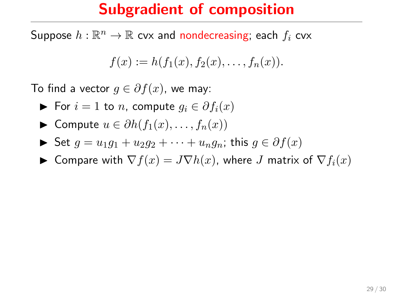Suppose  $h:\mathbb{R}^n\rightarrow\mathbb{R}$  cvx and nondecreasing; each  $f_i$  cvx

$$
f(x) := h(f_1(x), f_2(x), \dots, f_n(x)).
$$

To find a vector  $q \in \partial f(x)$ , we may:

- $\triangleright$  For  $i = 1$  to n, compute  $q_i \in \partial f_i(x)$
- $\blacktriangleright$  Compute  $u \in \partial h(f_1(x), \ldots, f_n(x))$
- $\triangleright$  Set  $g = u_1g_1 + u_2g_2 + \cdots + u_ng_n$ ; this  $g \in \partial f(x)$
- ► Compare with  $\nabla f(x) = J \nabla h(x)$ , where J matrix of  $\nabla f_i(x)$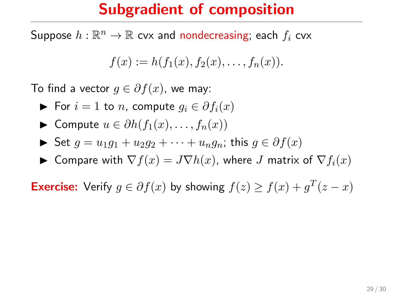Suppose  $h:\mathbb{R}^n\rightarrow\mathbb{R}$  cvx and nondecreasing; each  $f_i$  cvx

$$
f(x) := h(f_1(x), f_2(x), \dots, f_n(x)).
$$

To find a vector  $q \in \partial f(x)$ , we may:

- $\triangleright$  For  $i = 1$  to n, compute  $q_i \in \partial f_i(x)$
- $\blacktriangleright$  Compute  $u \in \partial h(f_1(x), \ldots, f_n(x))$

 $\triangleright$  Set  $g = u_1g_1 + u_2g_2 + \cdots + u_ng_n$ ; this  $g \in \partial f(x)$ 

► Compare with  $\nabla f(x) = J \nabla h(x)$ , where J matrix of  $\nabla f_i(x)$ 

**Exercise:** Verify  $g \in \partial f(x)$  by showing  $f(z) \ge f(x) + g^T(z - x)$